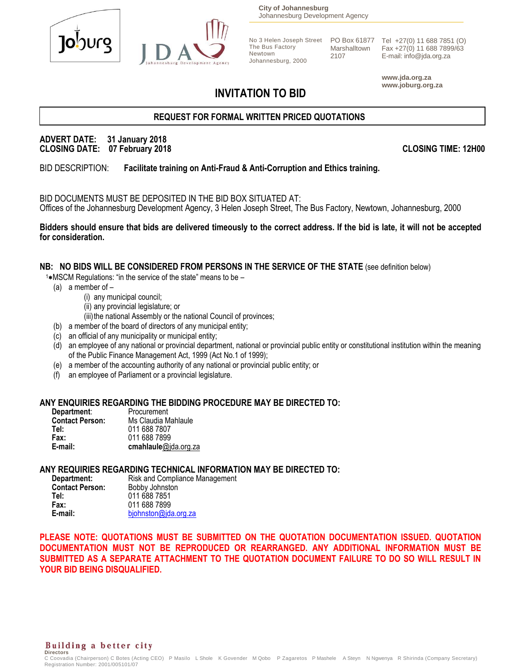



**City of Johannesburg** Johannesburg Development Agency

The Bus Factory Johannesburg, 2000 Marshalltown 2107

No 3 Helen Joseph Street PO Box 61877 Tel +27(0) 11 688 7851 (O) Fax +27(0) 11 688 7899/63 E-mail: info@jda.org.za

> **www.jda.org.za www.joburg.org.za**

# **INVITATION TO BID**

Newtown

# **REQUEST FOR FORMAL WRITTEN PRICED QUOTATIONS**

#### **ADVERT DATE: 31 January 2018 CLOSING DATE: 07 February 2018 CLOSING TIME: 12H00**

BID DESCRIPTION: **Facilitate training on Anti-Fraud & Anti-Corruption and Ethics training.**

BID DOCUMENTS MUST BE DEPOSITED IN THE BID BOX SITUATED AT: Offices of the Johannesburg Development Agency, 3 Helen Joseph Street, The Bus Factory, Newtown, Johannesburg, 2000

**Bidders should ensure that bids are delivered timeously to the correct address. If the bid is late, it will not be accepted for consideration.**

#### **NB: NO BIDS WILL BE CONSIDERED FROM PERSONS IN THE SERVICE OF THE STATE** (see definition below)

- 1\*MSCM Regulations: "in the service of the state" means to be -
	- (a) a member of
		- (i) any municipal council;
		- (ii) any provincial legislature; or
		- (iii) the national Assembly or the national Council of provinces;
	- (b) a member of the board of directors of any municipal entity;
	- (c) an official of any municipality or municipal entity;
	- (d) an employee of any national or provincial department, national or provincial public entity or constitutional institution within the meaning of the Public Finance Management Act, 1999 (Act No.1 of 1999);
	- (e) a member of the accounting authority of any national or provincial public entity; or
	- (f) an employee of Parliament or a provincial legislature.

#### **ANY ENQUIRIES REGARDING THE BIDDING PROCEDURE MAY BE DIRECTED TO:**

| Department:            | Procurement          |
|------------------------|----------------------|
| <b>Contact Person:</b> | Ms Claudia Mahlaule  |
| Tel:                   | 011 688 7807         |
| Fax:                   | 011 688 7899         |
| E-mail:                | cmahlaule@jda.org.za |

#### **ANY REQUIRIES REGARDING TECHNICAL INFORMATION MAY BE DIRECTED TO:**

| Department:            | Risk and Compliance Management |
|------------------------|--------------------------------|
| <b>Contact Person:</b> | Bobby Johnston                 |
| Tel:                   | 011 688 7851                   |
| Fax:                   | 011 688 7899                   |
| E-mail:                | bjohnston@jda.org.za           |

**PLEASE NOTE: QUOTATIONS MUST BE SUBMITTED ON THE QUOTATION DOCUMENTATION ISSUED. QUOTATION DOCUMENTATION MUST NOT BE REPRODUCED OR REARRANGED. ANY ADDITIONAL INFORMATION MUST BE SUBMITTED AS A SEPARATE ATTACHMENT TO THE QUOTATION DOCUMENT FAILURE TO DO SO WILL RESULT IN YOUR BID BEING DISQUALIFIED.**

# **Building a better city** Directors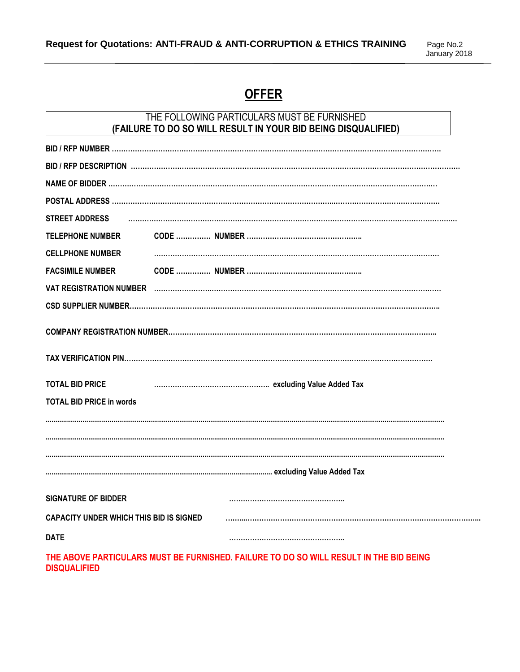# **OFFER**

# THE FOLLOWING PARTICULARS MUST BE FURNISHED **(FAILURE TO DO SO WILL RESULT IN YOUR BID BEING DISQUALIFIED)**

| <b>STREET ADDRESS</b>                   |  |  |  |
|-----------------------------------------|--|--|--|
| <b>TELEPHONE NUMBER</b>                 |  |  |  |
| <b>CELLPHONE NUMBER</b>                 |  |  |  |
| <b>FACSIMILE NUMBER</b>                 |  |  |  |
|                                         |  |  |  |
|                                         |  |  |  |
|                                         |  |  |  |
|                                         |  |  |  |
|                                         |  |  |  |
| <b>TOTAL BID PRICE</b>                  |  |  |  |
| <b>TOTAL BID PRICE in words</b>         |  |  |  |
|                                         |  |  |  |
|                                         |  |  |  |
|                                         |  |  |  |
|                                         |  |  |  |
| <b>SIGNATURE OF BIDDER</b>              |  |  |  |
| CAPACITY UNDER WHICH THIS BID IS SIGNED |  |  |  |
| <b>DATE</b>                             |  |  |  |

**THE ABOVE PARTICULARS MUST BE FURNISHED. FAILURE TO DO SO WILL RESULT IN THE BID BEING DISQUALIFIED**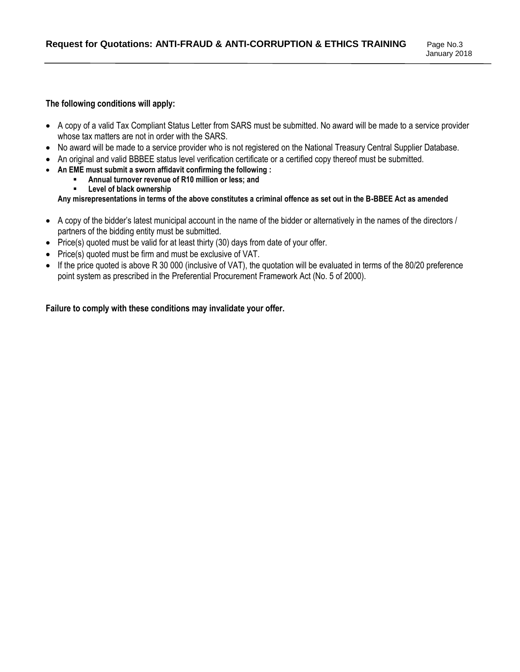#### **The following conditions will apply:**

- A copy of a valid Tax Compliant Status Letter from SARS must be submitted. No award will be made to a service provider whose tax matters are not in order with the SARS.
- No award will be made to a service provider who is not registered on the National Treasury Central Supplier Database.
- An original and valid BBBEE status level verification certificate or a certified copy thereof must be submitted.
- **An EME must submit a sworn affidavit confirming the following :** 
	- **Annual turnover revenue of R10 million or less; and**
	- **Level of black ownership**

**Any misrepresentations in terms of the above constitutes a criminal offence as set out in the B-BBEE Act as amended**

- A copy of the bidder's latest municipal account in the name of the bidder or alternatively in the names of the directors / partners of the bidding entity must be submitted.
- Price(s) quoted must be valid for at least thirty (30) days from date of your offer.
- Price(s) quoted must be firm and must be exclusive of VAT.
- If the price quoted is above R 30 000 (inclusive of VAT), the quotation will be evaluated in terms of the 80/20 preference point system as prescribed in the Preferential Procurement Framework Act (No. 5 of 2000).

#### **Failure to comply with these conditions may invalidate your offer.**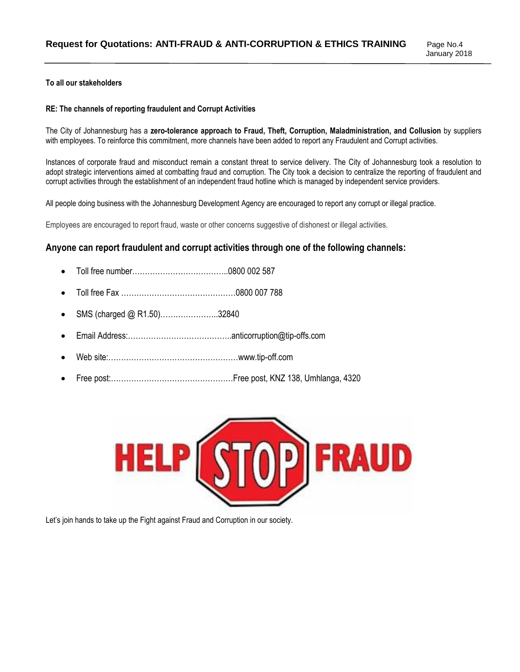#### **To all our stakeholders**

#### **RE: The channels of reporting fraudulent and Corrupt Activities**

The City of Johannesburg has a **zero-tolerance approach to Fraud, Theft, Corruption, Maladministration, and Collusion** by suppliers with employees. To reinforce this commitment, more channels have been added to report any Fraudulent and Corrupt activities.

Instances of corporate fraud and misconduct remain a constant threat to service delivery. The City of Johannesburg took a resolution to adopt strategic interventions aimed at combatting fraud and corruption. The City took a decision to centralize the reporting of fraudulent and corrupt activities through the establishment of an independent fraud hotline which is managed by independent service providers.

All people doing business with the Johannesburg Development Agency are encouraged to report any corrupt or illegal practice.

Employees are encouraged to report fraud, waste or other concerns suggestive of dishonest or illegal activities.

#### **Anyone can report fraudulent and corrupt activities through one of the following channels:**

- Toll free number………………………………..0800 002 587
- Toll free Fax ………………………………………0800 007 788
- SMS (charged @ R1.50)…………………..32840
- Email Address:…………………………………..anticorruption@tip-offs.com
- Web site:……………………………………………www.tip-off.com
- Free post:…………………………………………Free post, KNZ 138, Umhlanga, 4320



Let's join hands to take up the Fight against Fraud and Corruption in our society.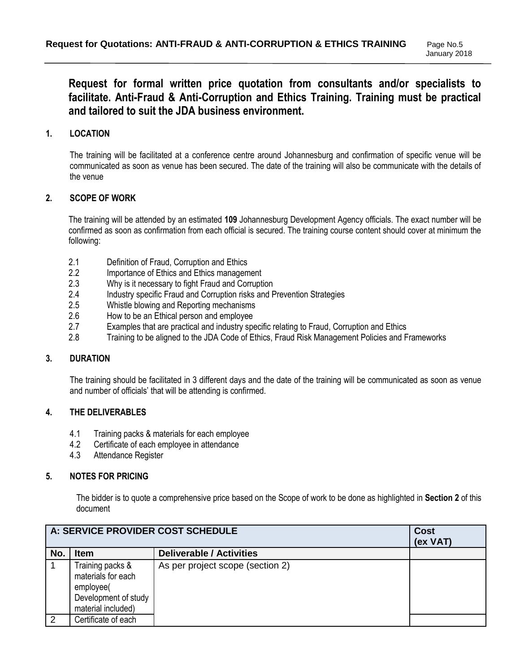# **Request for formal written price quotation from consultants and/or specialists to facilitate. Anti-Fraud & Anti-Corruption and Ethics Training. Training must be practical and tailored to suit the JDA business environment.**

## **1. LOCATION**

The training will be facilitated at a conference centre around Johannesburg and confirmation of specific venue will be communicated as soon as venue has been secured. The date of the training will also be communicate with the details of the venue

#### **2. SCOPE OF WORK**

The training will be attended by an estimated **109** Johannesburg Development Agency officials. The exact number will be confirmed as soon as confirmation from each official is secured. The training course content should cover at minimum the following:

- 2.1 Definition of Fraud, Corruption and Ethics<br>2.2 Importance of Ethics and Ethics managen
- Importance of Ethics and Ethics management
- 2.3 Why is it necessary to fight Fraud and Corruption
- 2.4 Industry specific Fraud and Corruption risks and Prevention Strategies
- 2.5 Whistle blowing and Reporting mechanisms
- 2.6 How to be an Ethical person and employee
- 2.7 Examples that are practical and industry specific relating to Fraud, Corruption and Ethics<br>2.8 Training to be aligned to the JDA Code of Ethics. Fraud Risk Management Policies and F
- 2.8 Training to be aligned to the JDA Code of Ethics, Fraud Risk Management Policies and Frameworks

#### **3. DURATION**

The training should be facilitated in 3 different days and the date of the training will be communicated as soon as venue and number of officials' that will be attending is confirmed.

#### **4. THE DELIVERABLES**

- 4.1 Training packs & materials for each employee
- 4.2 Certificate of each employee in attendance
- 4.3 Attendance Register

#### **5. NOTES FOR PRICING**

The bidder is to quote a comprehensive price based on the Scope of work to be done as highlighted in **Section 2** of this document

|     | A: SERVICE PROVIDER COST SCHEDULE                                                                 |                                  | <b>Cost</b><br>(ex VAT) |
|-----|---------------------------------------------------------------------------------------------------|----------------------------------|-------------------------|
| No. | <b>Item</b>                                                                                       | <b>Deliverable / Activities</b>  |                         |
|     | Training packs &<br>materials for each<br>employee(<br>Development of study<br>material included) | As per project scope (section 2) |                         |
| 2   | Certificate of each                                                                               |                                  |                         |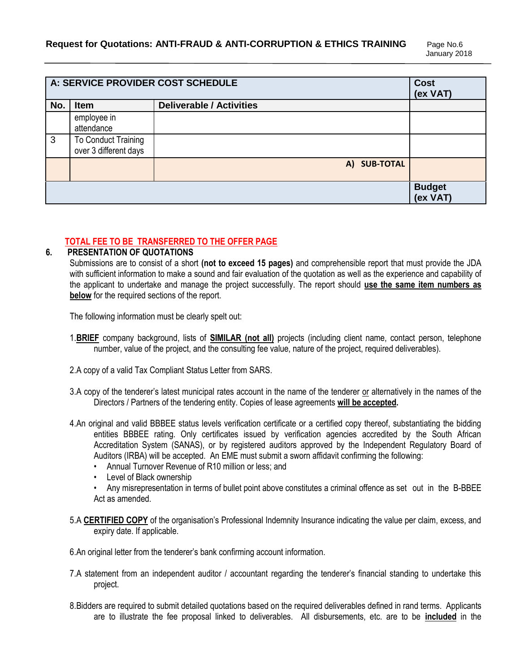|     |                                              | A: SERVICE PROVIDER COST SCHEDULE | <b>Cost</b><br>(ex VAT)   |
|-----|----------------------------------------------|-----------------------------------|---------------------------|
| No. | <b>Item</b>                                  | <b>Deliverable / Activities</b>   |                           |
|     | employee in<br>attendance                    |                                   |                           |
| 3   | To Conduct Training<br>over 3 different days |                                   |                           |
|     |                                              | A) SUB-TOTAL                      |                           |
|     |                                              |                                   | <b>Budget</b><br>(ex VAT) |

# **TOTAL FEE TO BE TRANSFERRED TO THE OFFER PAGE**

## **6. PRESENTATION OF QUOTATIONS**

Submissions are to consist of a short **(not to exceed 15 pages)** and comprehensible report that must provide the JDA with sufficient information to make a sound and fair evaluation of the quotation as well as the experience and capability of the applicant to undertake and manage the project successfully. The report should **use the same item numbers as below** for the required sections of the report.

The following information must be clearly spelt out:

- 1.**BRIEF** company background, lists of **SIMILAR (not all)** projects (including client name, contact person, telephone number, value of the project, and the consulting fee value, nature of the project, required deliverables).
- 2.A copy of a valid Tax Compliant Status Letter from SARS.
- 3.A copy of the tenderer's latest municipal rates account in the name of the tenderer or alternatively in the names of the Directors / Partners of the tendering entity. Copies of lease agreements **will be accepted.**
- 4.An original and valid BBBEE status levels verification certificate or a certified copy thereof, substantiating the bidding entities BBBEE rating. Only certificates issued by verification agencies accredited by the South African Accreditation System (SANAS), or by registered auditors approved by the Independent Regulatory Board of Auditors (IRBA) will be accepted. An EME must submit a sworn affidavit confirming the following:
	- Annual Turnover Revenue of R10 million or less; and
	- Level of Black ownership
	- Any misrepresentation in terms of bullet point above constitutes a criminal offence as set out in the B-BBEE Act as amended.
- 5.A **CERTIFIED COPY** of the organisation's Professional Indemnity Insurance indicating the value per claim, excess, and expiry date. If applicable.
- 6.An original letter from the tenderer's bank confirming account information.
- 7.A statement from an independent auditor / accountant regarding the tenderer's financial standing to undertake this project.
- 8.Bidders are required to submit detailed quotations based on the required deliverables defined in rand terms. Applicants are to illustrate the fee proposal linked to deliverables. All disbursements, etc. are to be **included** in the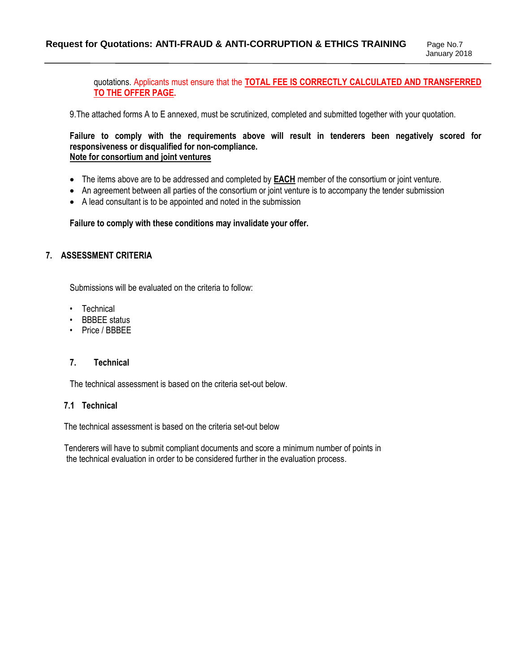quotations. Applicants must ensure that the **TOTAL FEE IS CORRECTLY CALCULATED AND TRANSFERRED TO THE OFFER PAGE.**

9.The attached forms A to E annexed, must be scrutinized, completed and submitted together with your quotation.

#### **Failure to comply with the requirements above will result in tenderers been negatively scored for responsiveness or disqualified for non-compliance. Note for consortium and joint ventures**

- The items above are to be addressed and completed by **EACH** member of the consortium or joint venture.
- An agreement between all parties of the consortium or joint venture is to accompany the tender submission
- A lead consultant is to be appointed and noted in the submission

#### **Failure to comply with these conditions may invalidate your offer.**

#### **7. ASSESSMENT CRITERIA**

Submissions will be evaluated on the criteria to follow:

- Technical
- BBBEE status
- Price / BBBEE

#### **7. Technical**

The technical assessment is based on the criteria set-out below.

#### **7.1 Technical**

The technical assessment is based on the criteria set-out below

 Tenderers will have to submit compliant documents and score a minimum number of points in the technical evaluation in order to be considered further in the evaluation process.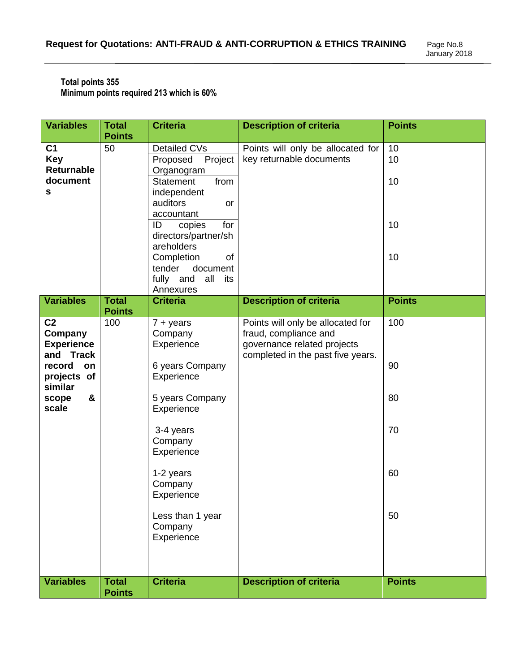#### **Total points 355 Minimum points required 213 which is 60%**

| <b>Variables</b>                                                                                                             | <b>Total</b><br><b>Points</b> | <b>Criteria</b>                                                                                                                                                                                                                                                             | <b>Description of criteria</b>                                                                                                 | <b>Points</b>                     |
|------------------------------------------------------------------------------------------------------------------------------|-------------------------------|-----------------------------------------------------------------------------------------------------------------------------------------------------------------------------------------------------------------------------------------------------------------------------|--------------------------------------------------------------------------------------------------------------------------------|-----------------------------------|
| C <sub>1</sub><br><b>Key</b><br>Returnable<br>document<br>s                                                                  | 50                            | Detailed CVs<br>Project<br>Proposed<br>Organogram<br>from<br><b>Statement</b><br>independent<br>auditors<br>or<br>accountant<br>for<br>ID<br>copies<br>directors/partner/sh<br>areholders<br>of<br>Completion<br>tender<br>document<br>fully and<br>all<br>its<br>Annexures | Points will only be allocated for<br>key returnable documents                                                                  | 10<br>10<br>10<br>10<br>10        |
| <b>Variables</b>                                                                                                             | <b>Total</b>                  | <b>Criteria</b>                                                                                                                                                                                                                                                             | <b>Description of criteria</b>                                                                                                 | <b>Points</b>                     |
| C <sub>2</sub><br>Company<br><b>Experience</b><br>and Track<br>record<br>on<br>projects of<br>similar<br>&<br>scope<br>scale | <b>Points</b><br>100          | $7 + years$<br>Company<br>Experience<br>6 years Company<br>Experience<br>5 years Company<br>Experience<br>3-4 years<br>Company<br>Experience<br>1-2 years<br>Company<br>Experience<br>Less than 1 year<br>Company<br>Experience                                             | Points will only be allocated for<br>fraud, compliance and<br>governance related projects<br>completed in the past five years. | 100<br>90<br>80<br>70<br>60<br>50 |
| <b>Variables</b>                                                                                                             | <b>Total</b><br><b>Points</b> | <b>Criteria</b>                                                                                                                                                                                                                                                             | <b>Description of criteria</b>                                                                                                 | <b>Points</b>                     |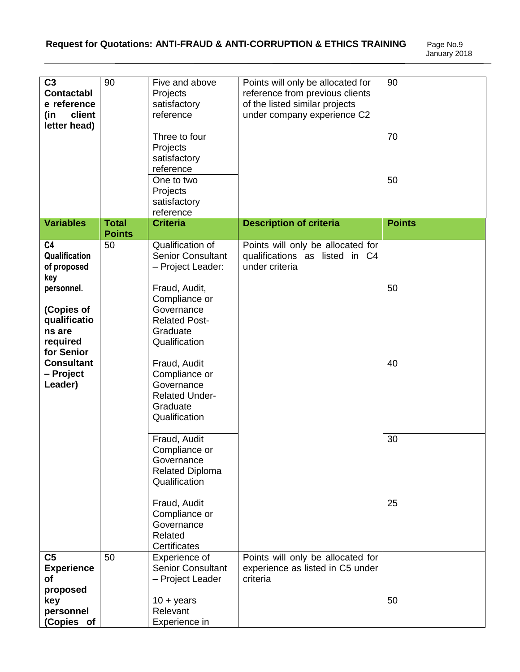| C <sub>3</sub>    | 90                            | Five and above           | Points will only be allocated for                                   | 90            |
|-------------------|-------------------------------|--------------------------|---------------------------------------------------------------------|---------------|
| <b>Contactabl</b> |                               | Projects                 | reference from previous clients                                     |               |
| e reference       |                               | satisfactory             | of the listed similar projects                                      |               |
| client<br>(in     |                               | reference                | under company experience C2                                         |               |
| letter head)      |                               |                          |                                                                     |               |
|                   |                               | Three to four            |                                                                     | 70            |
|                   |                               | Projects                 |                                                                     |               |
|                   |                               | satisfactory             |                                                                     |               |
|                   |                               | reference                |                                                                     |               |
|                   |                               | One to two               |                                                                     | 50            |
|                   |                               | Projects                 |                                                                     |               |
|                   |                               | satisfactory             |                                                                     |               |
|                   |                               | reference                |                                                                     |               |
| <b>Variables</b>  | <b>Total</b><br><b>Points</b> | <b>Criteria</b>          | <b>Description of criteria</b>                                      | <b>Points</b> |
| C <sub>4</sub>    | 50                            | Qualification of         |                                                                     |               |
| Qualification     |                               | <b>Senior Consultant</b> | Points will only be allocated for<br>qualifications as listed in C4 |               |
| of proposed       |                               | - Project Leader:        | under criteria                                                      |               |
| key               |                               |                          |                                                                     |               |
| personnel.        |                               | Fraud, Audit,            |                                                                     | 50            |
|                   |                               | Compliance or            |                                                                     |               |
| (Copies of        |                               | Governance               |                                                                     |               |
| qualificatio      |                               | <b>Related Post-</b>     |                                                                     |               |
| ns are            |                               | Graduate                 |                                                                     |               |
| required          |                               | Qualification            |                                                                     |               |
| for Senior        |                               |                          |                                                                     |               |
| <b>Consultant</b> |                               | Fraud, Audit             |                                                                     | 40            |
| – Project         |                               | Compliance or            |                                                                     |               |
| Leader)           |                               | Governance               |                                                                     |               |
|                   |                               | <b>Related Under-</b>    |                                                                     |               |
|                   |                               | Graduate                 |                                                                     |               |
|                   |                               | Qualification            |                                                                     |               |
|                   |                               |                          |                                                                     |               |
|                   |                               | Fraud, Audit             |                                                                     | 30            |
|                   |                               | Compliance or            |                                                                     |               |
|                   |                               | Governance               |                                                                     |               |
|                   |                               | <b>Related Diploma</b>   |                                                                     |               |
|                   |                               | Qualification            |                                                                     |               |
|                   |                               |                          |                                                                     |               |
|                   |                               | Fraud, Audit             |                                                                     | 25            |
|                   |                               | Compliance or            |                                                                     |               |
|                   |                               | Governance               |                                                                     |               |
|                   |                               | Related                  |                                                                     |               |
|                   |                               | Certificates             |                                                                     |               |
| C <sub>5</sub>    | 50                            | Experience of            | Points will only be allocated for                                   |               |
| <b>Experience</b> |                               | <b>Senior Consultant</b> | experience as listed in C5 under                                    |               |
| оf                |                               | - Project Leader         | criteria                                                            |               |
| proposed          |                               |                          |                                                                     |               |
| key               |                               | $10 + \text{years}$      |                                                                     | 50            |
| personnel         |                               | Relevant                 |                                                                     |               |
| (Copies of        |                               | Experience in            |                                                                     |               |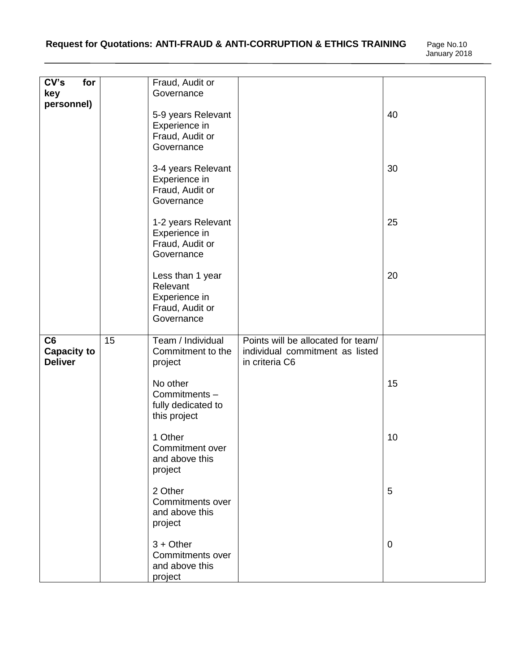| CV's<br>for<br>key                         |    | Fraud, Audit or<br>Governance                                                  |                                                                                         |    |
|--------------------------------------------|----|--------------------------------------------------------------------------------|-----------------------------------------------------------------------------------------|----|
| personnel)                                 |    | 5-9 years Relevant<br>Experience in<br>Fraud, Audit or<br>Governance           |                                                                                         | 40 |
|                                            |    | 3-4 years Relevant<br>Experience in<br>Fraud, Audit or<br>Governance           |                                                                                         | 30 |
|                                            |    | 1-2 years Relevant<br>Experience in<br>Fraud, Audit or<br>Governance           |                                                                                         | 25 |
|                                            |    | Less than 1 year<br>Relevant<br>Experience in<br>Fraud, Audit or<br>Governance |                                                                                         | 20 |
| C6<br><b>Capacity to</b><br><b>Deliver</b> | 15 | Team / Individual<br>Commitment to the<br>project                              | Points will be allocated for team/<br>individual commitment as listed<br>in criteria C6 |    |
|                                            |    | No other<br>Commitments-<br>fully dedicated to<br>this project                 |                                                                                         | 15 |
|                                            |    | 1 Other<br>Commitment over<br>and above this<br>project                        |                                                                                         | 10 |
|                                            |    | 2 Other<br>Commitments over<br>and above this<br>project                       |                                                                                         | 5  |
|                                            |    | $3 +$ Other<br>Commitments over<br>and above this<br>project                   |                                                                                         | 0  |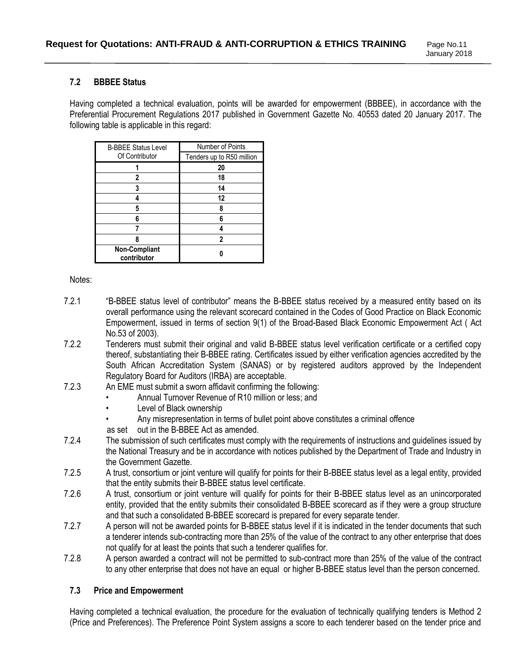#### **7.2 BBBEE Status**

Having completed a technical evaluation, points will be awarded for empowerment (BBBEE), in accordance with the Preferential Procurement Regulations 2017 published in Government Gazette No. 40553 dated 20 January 2017. The following table is applicable in this regard:

| <b>B-BBEE Status Level</b>   | Number of Points          |  |
|------------------------------|---------------------------|--|
| Of Contributor               | Tenders up to R50 million |  |
|                              | 20                        |  |
| 2                            | 18                        |  |
| 3                            | 14                        |  |
|                              | 12                        |  |
| 5                            | Я                         |  |
| 6                            | ĥ                         |  |
|                              |                           |  |
|                              | 2                         |  |
| Non-Compliant<br>contributor |                           |  |

Notes:

- 7.2.1 "B-BBEE status level of contributor" means the B-BBEE status received by a measured entity based on its overall performance using the relevant scorecard contained in the Codes of Good Practice on Black Economic Empowerment, issued in terms of section 9(1) of the Broad-Based Black Economic Empowerment Act ( Act No.53 of 2003).
- 7.2.2 Tenderers must submit their original and valid B-BBEE status level verification certificate or a certified copy thereof, substantiating their B-BBEE rating. Certificates issued by either verification agencies accredited by the South African Accreditation System (SANAS) or by registered auditors approved by the Independent Regulatory Board for Auditors (IRBA) are acceptable.
- 7.2.3 An EME must submit a sworn affidavit confirming the following:
	- Annual Turnover Revenue of R10 million or less; and
	- Level of Black ownership
	- Any misrepresentation in terms of bullet point above constitutes a criminal offence
	- as set out in the B-BBEE Act as amended.
- 7.2.4 The submission of such certificates must comply with the requirements of instructions and guidelines issued by the National Treasury and be in accordance with notices published by the Department of Trade and Industry in the Government Gazette.
- 7.2.5 A trust, consortium or joint venture will qualify for points for their B-BBEE status level as a legal entity, provided that the entity submits their B-BBEE status level certificate.
- 7.2.6 A trust, consortium or joint venture will qualify for points for their B-BBEE status level as an unincorporated entity, provided that the entity submits their consolidated B-BBEE scorecard as if they were a group structure and that such a consolidated B-BBEE scorecard is prepared for every separate tender.
- 7.2.7 A person will not be awarded points for B-BBEE status level if it is indicated in the tender documents that such a tenderer intends sub-contracting more than 25% of the value of the contract to any other enterprise that does not qualify for at least the points that such a tenderer qualifies for.
- 7.2.8 A person awarded a contract will not be permitted to sub-contract more than 25% of the value of the contract to any other enterprise that does not have an equal or higher B-BBEE status level than the person concerned.

#### **7.3 Price and Empowerment**

Having completed a technical evaluation, the procedure for the evaluation of technically qualifying tenders is Method 2 (Price and Preferences). The Preference Point System assigns a score to each tenderer based on the tender price and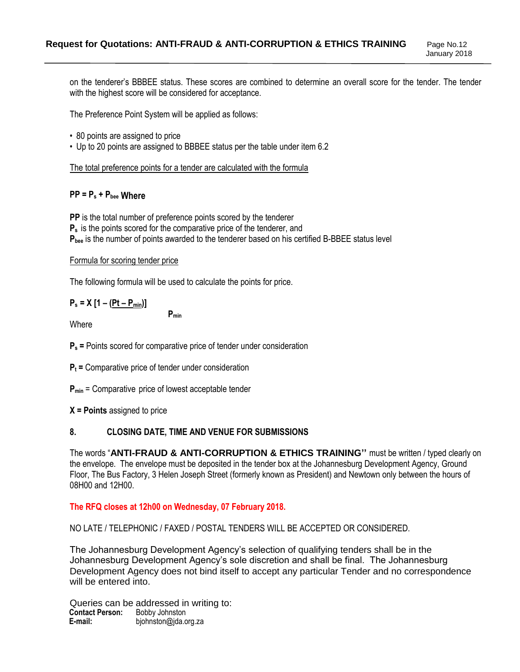January 2018

on the tenderer's BBBEE status. These scores are combined to determine an overall score for the tender. The tender with the highest score will be considered for acceptance.

The Preference Point System will be applied as follows:

- 80 points are assigned to price
- Up to 20 points are assigned to BBBEE status per the table under item 6.2

The total preference points for a tender are calculated with the formula

#### **PP = P<sup>s</sup> + Pbee Where**

**PP** is the total number of preference points scored by the tenderer **P<sup>s</sup>** is the points scored for the comparative price of the tenderer, and **Pbee** is the number of points awarded to the tenderer based on his certified B-BBEE status level

#### Formula for scoring tender price

The following formula will be used to calculate the points for price.

**Pmin**

# **P<sup>s</sup> = X [1 – (Pt – Pmin)]**

**Where** 

**P<sup>s</sup> =** Points scored for comparative price of tender under consideration

- **P<sup>t</sup> =** Comparative price of tender under consideration
- **Pmin** = Comparative price of lowest acceptable tender
- **X = Points** assigned to price

## **8. CLOSING DATE, TIME AND VENUE FOR SUBMISSIONS**

The words "**ANTI-FRAUD & ANTI-CORRUPTION & ETHICS TRAINING''** must be written / typed clearly on the envelope. The envelope must be deposited in the tender box at the Johannesburg Development Agency, Ground Floor, The Bus Factory, 3 Helen Joseph Street (formerly known as President) and Newtown only between the hours of 08H00 and 12H00.

**The RFQ closes at 12h00 on Wednesday, 07 February 2018.**

NO LATE / TELEPHONIC / FAXED / POSTAL TENDERS WILL BE ACCEPTED OR CONSIDERED.

The Johannesburg Development Agency's selection of qualifying tenders shall be in the Johannesburg Development Agency's sole discretion and shall be final. The Johannesburg Development Agency does not bind itself to accept any particular Tender and no correspondence will be entered into.

Queries can be addressed in writing to:<br>Contact Person: Bobby Johnston **Contact Person:<br>E-mail: E-mail:** bjohnston@jda.org.za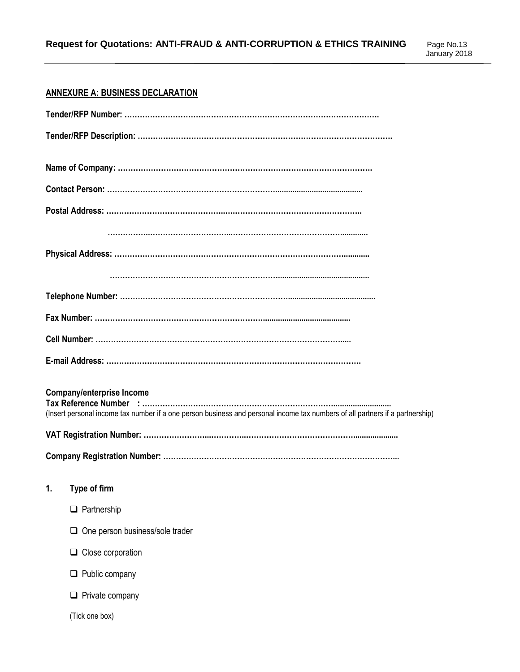# **ANNEXURE A: BUSINESS DECLARATION**

| <b>Company/enterprise Income</b><br>(Insert personal income tax number if a one person business and personal income tax numbers of all partners if a partnership) |
|-------------------------------------------------------------------------------------------------------------------------------------------------------------------|
| 1.<br>Type of firm                                                                                                                                                |
| Partnership<br>⊔                                                                                                                                                  |
| $\Box$ One person business/sole trader                                                                                                                            |
| $\Box$ Close corporation                                                                                                                                          |
| $\Box$ Public company                                                                                                                                             |
| $\Box$ Private company                                                                                                                                            |
| (Tick one box)                                                                                                                                                    |
|                                                                                                                                                                   |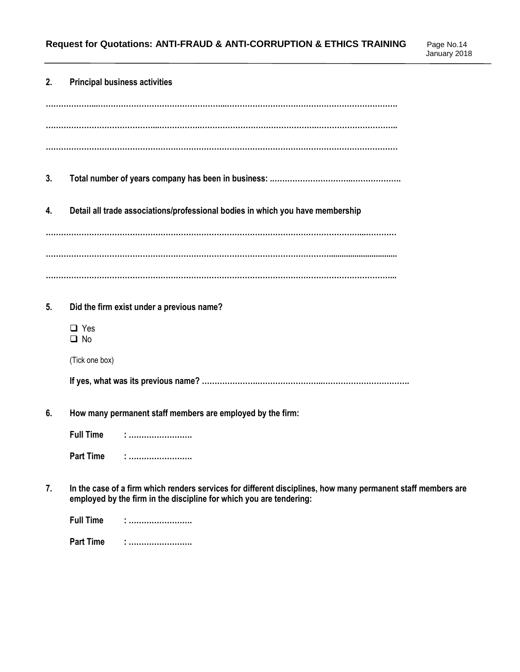| 2. | <b>Principal business activities</b>                                                                                                                                                |
|----|-------------------------------------------------------------------------------------------------------------------------------------------------------------------------------------|
|    |                                                                                                                                                                                     |
|    |                                                                                                                                                                                     |
|    |                                                                                                                                                                                     |
| 3. |                                                                                                                                                                                     |
| 4. | Detail all trade associations/professional bodies in which you have membership                                                                                                      |
|    |                                                                                                                                                                                     |
|    |                                                                                                                                                                                     |
|    |                                                                                                                                                                                     |
| 5. | Did the firm exist under a previous name?                                                                                                                                           |
|    | $\Box$ Yes<br>$\Box$ No                                                                                                                                                             |
|    | (Tick one box)                                                                                                                                                                      |
|    |                                                                                                                                                                                     |
| 6. | How many permanent staff members are employed by the firm:                                                                                                                          |
|    | <b>Full Time</b>                                                                                                                                                                    |
|    | <b>Part Time</b>                                                                                                                                                                    |
| 7. | In the case of a firm which renders services for different disciplines, how many permanent staff members are<br>employed by the firm in the discipline for which you are tendering: |
|    | <b>Full Time</b>                                                                                                                                                                    |
|    | <b>Part Time</b>                                                                                                                                                                    |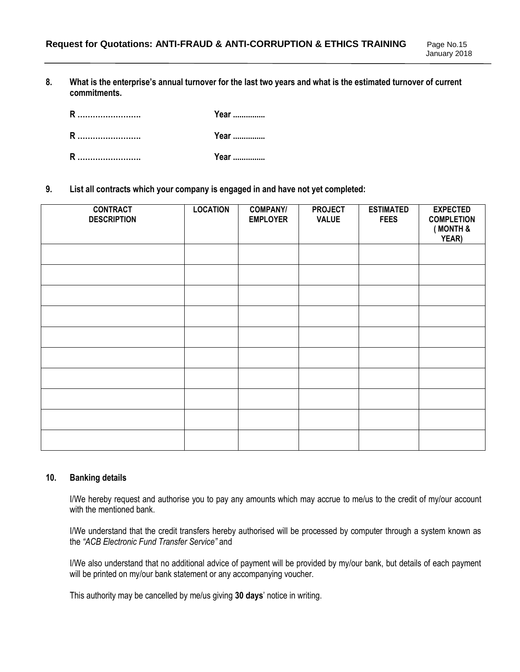**8. What is the enterprise's annual turnover for the last two years and what is the estimated turnover of current commitments.** 

| R | Year |
|---|------|
| R | Year |
| R | Year |

**9. List all contracts which your company is engaged in and have not yet completed:**

| <b>CONTRACT</b><br><b>DESCRIPTION</b> | <b>LOCATION</b> | <b>COMPANY/</b><br><b>EMPLOYER</b> | <b>PROJECT</b><br><b>VALUE</b> | <b>ESTIMATED</b><br><b>FEES</b> | <b>EXPECTED</b><br><b>COMPLETION</b><br>(MONTH &<br>YEAR) |
|---------------------------------------|-----------------|------------------------------------|--------------------------------|---------------------------------|-----------------------------------------------------------|
|                                       |                 |                                    |                                |                                 |                                                           |
|                                       |                 |                                    |                                |                                 |                                                           |
|                                       |                 |                                    |                                |                                 |                                                           |
|                                       |                 |                                    |                                |                                 |                                                           |
|                                       |                 |                                    |                                |                                 |                                                           |
|                                       |                 |                                    |                                |                                 |                                                           |
|                                       |                 |                                    |                                |                                 |                                                           |
|                                       |                 |                                    |                                |                                 |                                                           |
|                                       |                 |                                    |                                |                                 |                                                           |
|                                       |                 |                                    |                                |                                 |                                                           |

#### **10. Banking details**

I/We hereby request and authorise you to pay any amounts which may accrue to me/us to the credit of my/our account with the mentioned bank.

I/We understand that the credit transfers hereby authorised will be processed by computer through a system known as the *"ACB Electronic Fund Transfer Service"* and

I/We also understand that no additional advice of payment will be provided by my/our bank, but details of each payment will be printed on my/our bank statement or any accompanying voucher.

This authority may be cancelled by me/us giving **30 days**' notice in writing.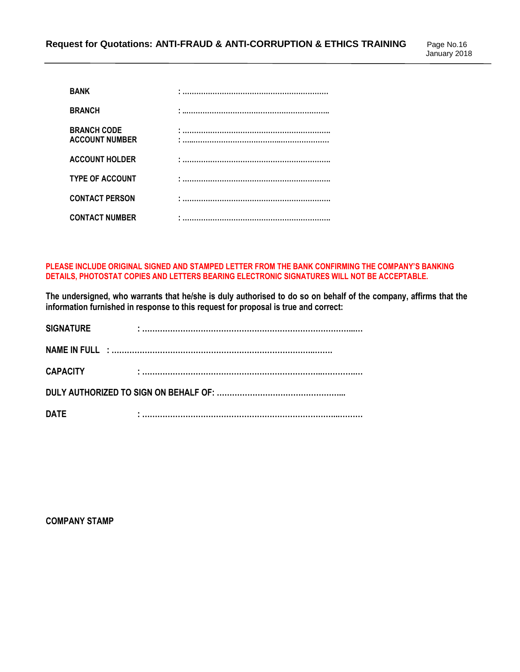| <b>BANK</b>                                 |   |
|---------------------------------------------|---|
| <b>BRANCH</b>                               | . |
| <b>BRANCH CODE</b><br><b>ACCOUNT NUMBER</b> |   |
| <b>ACCOUNT HOLDER</b>                       |   |
| <b>TYPE OF ACCOUNT</b>                      |   |
| <b>CONTACT PERSON</b>                       |   |
| <b>CONTACT NUMBER</b>                       |   |

**PLEASE INCLUDE ORIGINAL SIGNED AND STAMPED LETTER FROM THE BANK CONFIRMING THE COMPANY'S BANKING DETAILS, PHOTOSTAT COPIES AND LETTERS BEARING ELECTRONIC SIGNATURES WILL NOT BE ACCEPTABLE.**

**The undersigned, who warrants that he/she is duly authorised to do so on behalf of the company, affirms that the information furnished in response to this request for proposal is true and correct:**

| <b>SIGNATURE</b> |                                                                                                                     |
|------------------|---------------------------------------------------------------------------------------------------------------------|
|                  |                                                                                                                     |
| <b>CAPACITY</b>  | .<br>Tanàna ao amin'ny faritr'i Nouvelle-Aquitaine, ao amin'ny faritr'i Nouvelle-Aquitaine, ao amin'ny faritr'i Aqu |
|                  |                                                                                                                     |
| <b>DATE</b>      |                                                                                                                     |

**COMPANY STAMP**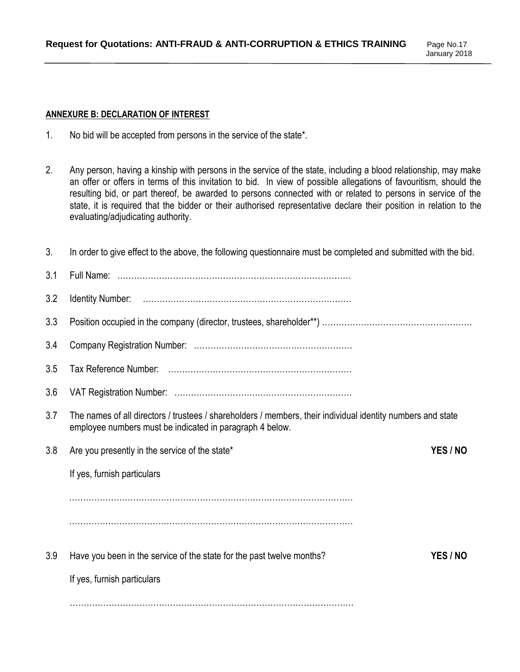January 2018

#### **ANNEXURE B: DECLARATION OF INTEREST**

- 1. No bid will be accepted from persons in the service of the state\*.
- 2. Any person, having a kinship with persons in the service of the state, including a blood relationship, may make an offer or offers in terms of this invitation to bid. In view of possible allegations of favouritism, should the resulting bid, or part thereof, be awarded to persons connected with or related to persons in service of the state, it is required that the bidder or their authorised representative declare their position in relation to the evaluating/adjudicating authority.

| 3.  | In order to give effect to the above, the following questionnaire must be completed and submitted with the bid.                                                         |          |
|-----|-------------------------------------------------------------------------------------------------------------------------------------------------------------------------|----------|
| 3.1 |                                                                                                                                                                         |          |
| 3.2 |                                                                                                                                                                         |          |
| 3.3 |                                                                                                                                                                         |          |
| 3.4 |                                                                                                                                                                         |          |
| 3.5 |                                                                                                                                                                         |          |
| 3.6 |                                                                                                                                                                         |          |
| 3.7 | The names of all directors / trustees / shareholders / members, their individual identity numbers and state<br>employee numbers must be indicated in paragraph 4 below. |          |
| 3.8 | Are you presently in the service of the state*                                                                                                                          | YES / NO |
|     | If yes, furnish particulars                                                                                                                                             |          |
|     |                                                                                                                                                                         |          |
|     |                                                                                                                                                                         |          |
| 3.9 | Have you been in the service of the state for the past twelve months?                                                                                                   | YES / NO |
|     | If yes, furnish particulars                                                                                                                                             |          |
|     |                                                                                                                                                                         |          |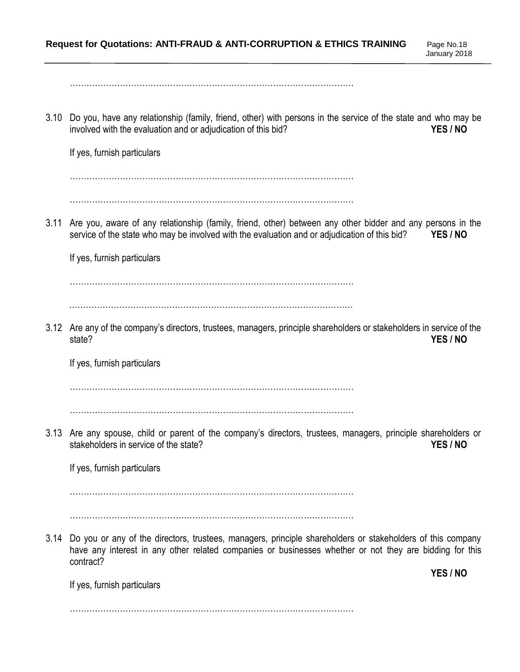…………………………………………………………………………………………

3.10 Do you, have any relationship (family, friend, other) with persons in the service of the state and who may be involved with the evaluation and or adjudication of this bid? **YES / NO**

If yes, furnish particulars

…………………………………………………………………………………………

…………………………………………………………………………………………

3.11 Are you, aware of any relationship (family, friend, other) between any other bidder and any persons in the service of the state who may be involved with the evaluation and or adjudication of this bid? **YES / NO**

If yes, furnish particulars

…………………………………………………………………………………………

…………………………………………………………………………………………

3.12 Are any of the company's directors, trustees, managers, principle shareholders or stakeholders in service of the state? **YES / NO**

If yes, furnish particulars

…………………………………………………………………………………………

…………………………………………………………………………………………

3.13 Are any spouse, child or parent of the company's directors, trustees, managers, principle shareholders or stakeholders in service of the state? **YES / NO**

If yes, furnish particulars

…………………………………………………………………………………………

…………………………………………………………………………………………

3.14 Do you or any of the directors, trustees, managers, principle shareholders or stakeholders of this company have any interest in any other related companies or businesses whether or not they are bidding for this contract?

If yes, furnish particulars

**YES / NO**

…………………………………………………………………………………………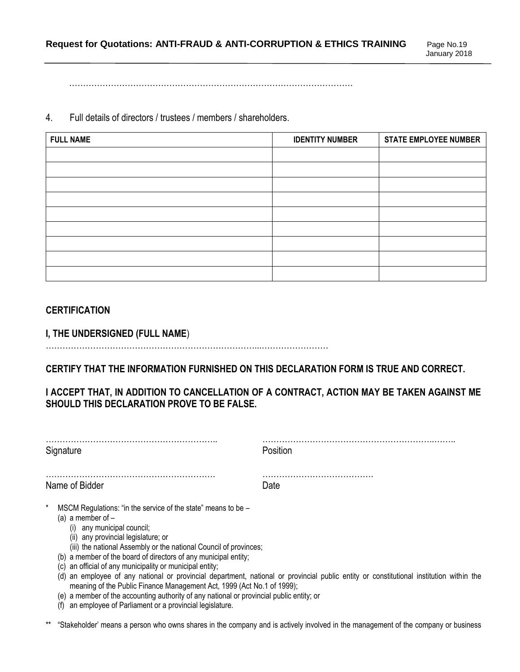…………………………………………………………………………………………

4. Full details of directors / trustees / members / shareholders.

| <b>FULL NAME</b> | <b>IDENTITY NUMBER</b> | <b>STATE EMPLOYEE NUMBER</b> |
|------------------|------------------------|------------------------------|
|                  |                        |                              |
|                  |                        |                              |
|                  |                        |                              |
|                  |                        |                              |
|                  |                        |                              |
|                  |                        |                              |
|                  |                        |                              |
|                  |                        |                              |
|                  |                        |                              |

## **CERTIFICATION**

**I, THE UNDERSIGNED (FULL NAME**)

…………………………………………………………………...……………………

**CERTIFY THAT THE INFORMATION FURNISHED ON THIS DECLARATION FORM IS TRUE AND CORRECT.** 

# **I ACCEPT THAT, IN ADDITION TO CANCELLATION OF A CONTRACT, ACTION MAY BE TAKEN AGAINST ME SHOULD THIS DECLARATION PROVE TO BE FALSE.**

| Signature                                                                                                                                                                                                                                                                                                                                                                  | Position                                                                                                                              |
|----------------------------------------------------------------------------------------------------------------------------------------------------------------------------------------------------------------------------------------------------------------------------------------------------------------------------------------------------------------------------|---------------------------------------------------------------------------------------------------------------------------------------|
| Name of Bidder                                                                                                                                                                                                                                                                                                                                                             | Date                                                                                                                                  |
| $\ast$<br>MSCM Regulations: "in the service of the state" means to be -<br>(a) a member of $-$<br>(i) any municipal council;<br>(ii) any provincial legislature; or<br>(iii) the national Assembly or the national Council of provinces;<br>(b) a member of the board of directors of any municipal entity;<br>an official of any municipality or municipal entity;<br>(C) | (d) an employee of any national or provincial department, national or provincial public entity or constitutional institution within t |

- (d) an employee of any national or provincial department, national or provincial public entity or constitutional institution within the meaning of the Public Finance Management Act, 1999 (Act No.1 of 1999);
- (e) a member of the accounting authority of any national or provincial public entity; or
- (f) an employee of Parliament or a provincial legislature.
- "Stakeholder' means a person who owns shares in the company and is actively involved in the management of the company or business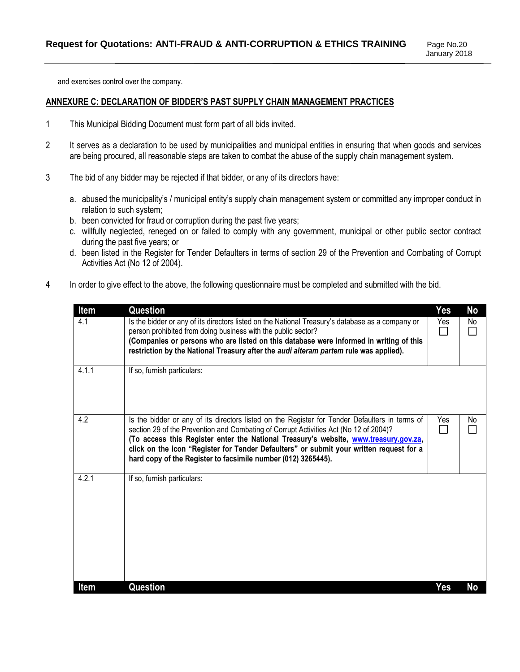and exercises control over the company.

#### **ANNEXURE C: DECLARATION OF BIDDER'S PAST SUPPLY CHAIN MANAGEMENT PRACTICES**

- 1 This Municipal Bidding Document must form part of all bids invited.
- 2 It serves as a declaration to be used by municipalities and municipal entities in ensuring that when goods and services are being procured, all reasonable steps are taken to combat the abuse of the supply chain management system.
- 3 The bid of any bidder may be rejected if that bidder, or any of its directors have:
	- a. abused the municipality's / municipal entity's supply chain management system or committed any improper conduct in relation to such system;
	- b. been convicted for fraud or corruption during the past five years;
	- c. willfully neglected, reneged on or failed to comply with any government, municipal or other public sector contract during the past five years; or
	- d. been listed in the Register for Tender Defaulters in terms of section 29 of the Prevention and Combating of Corrupt Activities Act (No 12 of 2004).
- 4 In order to give effect to the above, the following questionnaire must be completed and submitted with the bid.

| Item  | Question                                                                                                                                                                                                                                                                                                                                                                                                                                    | Yes | No  |
|-------|---------------------------------------------------------------------------------------------------------------------------------------------------------------------------------------------------------------------------------------------------------------------------------------------------------------------------------------------------------------------------------------------------------------------------------------------|-----|-----|
| 4.1   | Is the bidder or any of its directors listed on the National Treasury's database as a company or<br>person prohibited from doing business with the public sector?<br>(Companies or persons who are listed on this database were informed in writing of this<br>restriction by the National Treasury after the audi alteram partem rule was applied).                                                                                        | Yes | No. |
| 4.1.1 | If so, furnish particulars:                                                                                                                                                                                                                                                                                                                                                                                                                 |     |     |
| 4.2   | Is the bidder or any of its directors listed on the Register for Tender Defaulters in terms of<br>section 29 of the Prevention and Combating of Corrupt Activities Act (No 12 of 2004)?<br>(To access this Register enter the National Treasury's website, www.treasury.gov.za,<br>click on the icon "Register for Tender Defaulters" or submit your written request for a<br>hard copy of the Register to facsimile number (012) 3265445). | Yes | No. |
| 4.2.1 | If so, furnish particulars:                                                                                                                                                                                                                                                                                                                                                                                                                 |     |     |
| Item  | Question                                                                                                                                                                                                                                                                                                                                                                                                                                    | Yes | No  |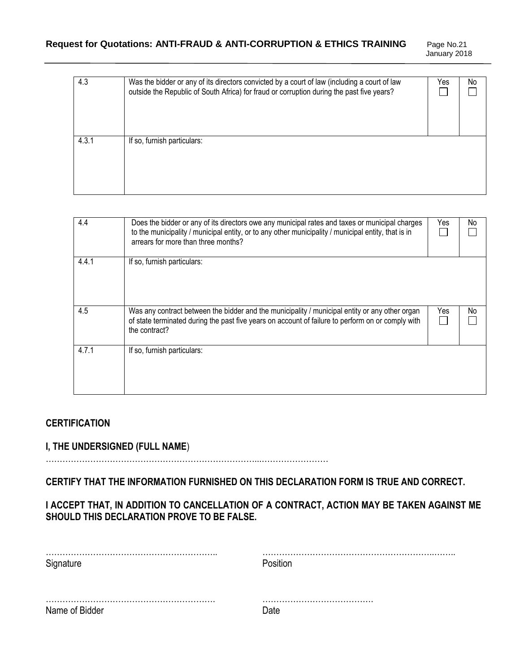January 2018

| 4.3   | Was the bidder or any of its directors convicted by a court of law (including a court of law<br>outside the Republic of South Africa) for fraud or corruption during the past five years? | Yes | No |
|-------|-------------------------------------------------------------------------------------------------------------------------------------------------------------------------------------------|-----|----|
| 4.3.1 | If so, furnish particulars:                                                                                                                                                               |     |    |

| 4.4   | Does the bidder or any of its directors owe any municipal rates and taxes or municipal charges<br>to the municipality / municipal entity, or to any other municipality / municipal entity, that is in<br>arrears for more than three months? | Yes | No |
|-------|----------------------------------------------------------------------------------------------------------------------------------------------------------------------------------------------------------------------------------------------|-----|----|
| 4.4.1 | If so, furnish particulars:                                                                                                                                                                                                                  |     |    |
| 4.5   | Was any contract between the bidder and the municipality / municipal entity or any other organ<br>of state terminated during the past five years on account of failure to perform on or comply with<br>the contract?                         | Yes | No |
| 4.7.1 | If so, furnish particulars:                                                                                                                                                                                                                  |     |    |

# **CERTIFICATION**

# **I, THE UNDERSIGNED (FULL NAME**)

…………………………………………………………………...……………………

**CERTIFY THAT THE INFORMATION FURNISHED ON THIS DECLARATION FORM IS TRUE AND CORRECT.** 

**I ACCEPT THAT, IN ADDITION TO CANCELLATION OF A CONTRACT, ACTION MAY BE TAKEN AGAINST ME SHOULD THIS DECLARATION PROVE TO BE FALSE.** 

| Name of Bidder |  |
|----------------|--|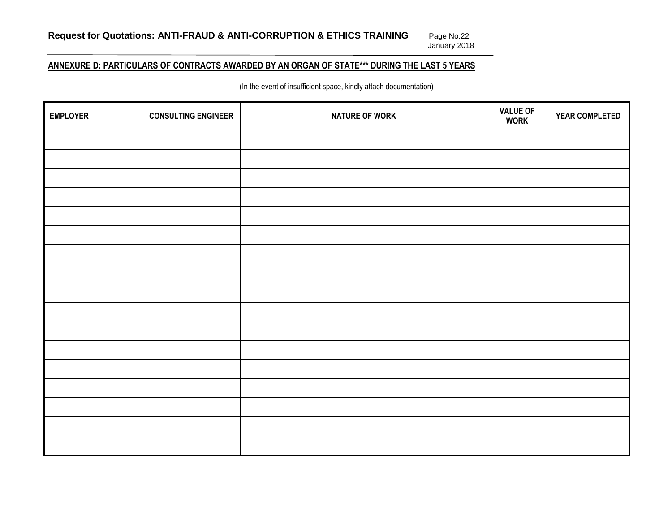# Page No.22<br>January 2018

# **ANNEXURE D: PARTICULARS OF CONTRACTS AWARDED BY AN ORGAN OF STATE\*\*\* DURING THE LAST 5 YEARS**

(In the event of insufficient space, kindly attach documentation)

| <b>EMPLOYER</b> | <b>CONSULTING ENGINEER</b> | <b>NATURE OF WORK</b> | <b>VALUE OF</b><br><b>WORK</b> | YEAR COMPLETED |
|-----------------|----------------------------|-----------------------|--------------------------------|----------------|
|                 |                            |                       |                                |                |
|                 |                            |                       |                                |                |
|                 |                            |                       |                                |                |
|                 |                            |                       |                                |                |
|                 |                            |                       |                                |                |
|                 |                            |                       |                                |                |
|                 |                            |                       |                                |                |
|                 |                            |                       |                                |                |
|                 |                            |                       |                                |                |
|                 |                            |                       |                                |                |
|                 |                            |                       |                                |                |
|                 |                            |                       |                                |                |
|                 |                            |                       |                                |                |
|                 |                            |                       |                                |                |
|                 |                            |                       |                                |                |
|                 |                            |                       |                                |                |
|                 |                            |                       |                                |                |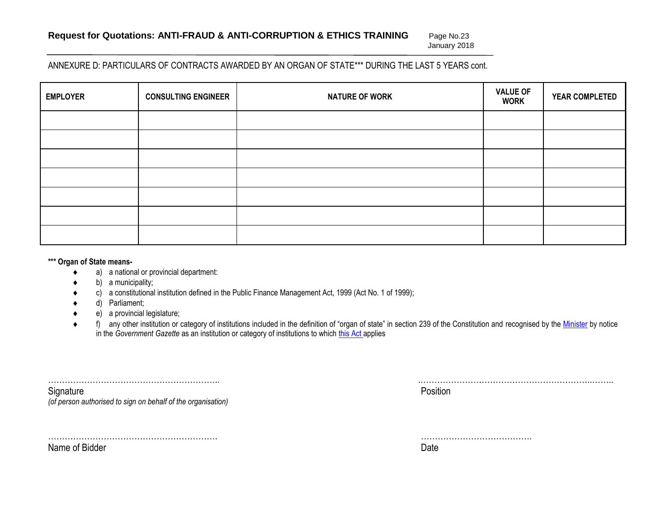January 2018

#### ANNEXURE D: PARTICULARS OF CONTRACTS AWARDED BY AN ORGAN OF STATE\*\*\* DURING THE LAST 5 YEARS cont.

| <b>EMPLOYER</b> | <b>CONSULTING ENGINEER</b> | <b>NATURE OF WORK</b> | <b>VALUE OF</b><br><b>WORK</b> | <b>YEAR COMPLETED</b> |
|-----------------|----------------------------|-----------------------|--------------------------------|-----------------------|
|                 |                            |                       |                                |                       |
|                 |                            |                       |                                |                       |
|                 |                            |                       |                                |                       |
|                 |                            |                       |                                |                       |
|                 |                            |                       |                                |                       |
|                 |                            |                       |                                |                       |
|                 |                            |                       |                                |                       |

#### **\*\*\* Organ of State means-**

- a) a national or provincial department:
- $\bullet$  b) a municipality;
- c) a constitutional institution defined in the Public Finance Management Act, 1999 (Act No. 1 of 1999);
- d) Parliament;
- e) a provincial legislature;
- ◆ f) any other institution or category of institutions included in the definition of "organ of state" in section 239 of the Constitution and recognised by the [Minister](javascript:void(0);) by notice in the *Government Gazette* as an institution or category of institutions to which [this Act](javascript:void(0);) applies

|                                                              | .        |
|--------------------------------------------------------------|----------|
| Signature                                                    | Position |
| (of person authorised to sign on behalf of the organisation) |          |

……………………………………………………. ………………………………….

Name of Bidder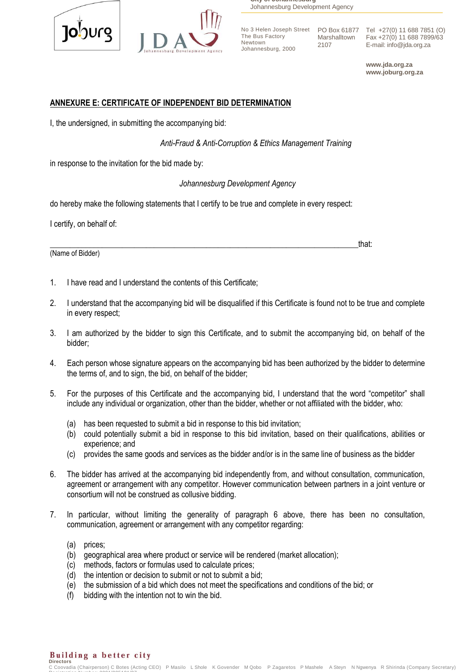



**City of Johannesburg** Johannesburg Development Agency

The Bus Factory Newtown Johannesburg, 2000

2107

No 3 Helen Joseph Street PO Box 61877 Tel +27(0) 11 688 7851 (O) Marshalltown Fax +27(0) 11 688 7899/63 E-mail: info@jda.org.za

> **www.jda.org.za www.joburg.org.za**

#### **ANNEXURE E: CERTIFICATE OF INDEPENDENT BID DETERMINATION**

I, the undersigned, in submitting the accompanying bid:

 *Anti-Fraud & Anti-Corruption & Ethics Management Training*

in response to the invitation for the bid made by:

*Johannesburg Development Agency*

do hereby make the following statements that I certify to be true and complete in every respect:

I certify, on behalf of:

(Name of Bidder)

1. I have read and I understand the contents of this Certificate;

- 2. I understand that the accompanying bid will be disqualified if this Certificate is found not to be true and complete in every respect;
- 3. I am authorized by the bidder to sign this Certificate, and to submit the accompanying bid, on behalf of the bidder;
- 4. Each person whose signature appears on the accompanying bid has been authorized by the bidder to determine the terms of, and to sign, the bid, on behalf of the bidder;
- 5. For the purposes of this Certificate and the accompanying bid, I understand that the word "competitor" shall include any individual or organization, other than the bidder, whether or not affiliated with the bidder, who:
	- (a) has been requested to submit a bid in response to this bid invitation;
	- (b) could potentially submit a bid in response to this bid invitation, based on their qualifications, abilities or experience; and
	- (c) provides the same goods and services as the bidder and/or is in the same line of business as the bidder
- 6. The bidder has arrived at the accompanying bid independently from, and without consultation, communication, agreement or arrangement with any competitor. However communication between partners in a joint venture or consortium will not be construed as collusive bidding.
- 7. In particular, without limiting the generality of paragraph 6 above, there has been no consultation, communication, agreement or arrangement with any competitor regarding:
	- (a) prices;
	- (b) geographical area where product or service will be rendered (market allocation);
	- (c) methods, factors or formulas used to calculate prices;
	- (d) the intention or decision to submit or not to submit a bid;
	- (e) the submission of a bid which does not meet the specifications and conditions of the bid; or
	- (f) bidding with the intention not to win the bid.

Building a better city **Directors** 

C Coovadia (Chairperson) C Botes (Acting CEO) P Masilo L Shole K Govender M Qobo P Zagaretos P Mashele A Steyn N Ngwenya R Shirinda (Company Secretary) Registration Number: 2001/005101/07

\_\_\_\_\_\_\_\_\_\_\_\_\_\_\_\_\_\_\_\_\_\_\_\_\_\_\_\_\_\_\_\_\_\_\_\_\_\_\_\_\_\_\_\_\_\_\_\_\_\_\_\_\_\_\_\_\_\_\_\_\_\_\_\_\_\_\_\_\_\_\_\_\_\_\_\_\_that: